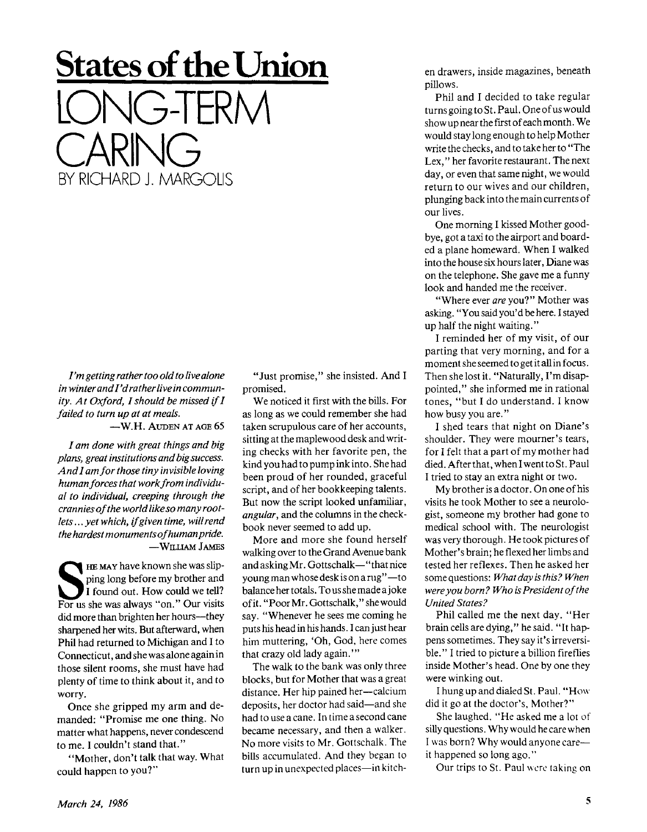## **States of the Union**   $-$ I $+$ R CARING<sub></sub> BY RICHARD J. MARGOLIS

*I'm getting rather too old to live alone in winter and I'd rather live in community. At Oxford, I should be missed if I failed to turn up at at meals.*   $-W.H.$  AUDEN AT AGE 65

*lam done with great things and big plans, great institutions and big success. And lam for those tiny in visible loving human forces that workfrom individual to individual, creeping through the crannies of the world like so many rootlets ... yet which, if given time, will rend the hardest monuments of humanpride.*  **—WILLIAM JAMES** 

FOR HE MAY have known she was slipping long before my brother and<br>I found out. How could we tell?<br>For us she was always "on." Our visits **HE MAY** have known she was slipping long before my brother and I found out. How could we tell? did more than brighten her hours—they sharpened her wits. But afterward, when Phil had returned to Michigan and I to Connecticut, and she was alone again in those silent rooms, she must have had plenty of time to think about it, and to worry.

Once she gripped my arm and demanded: "Promise me one thing. No matter what happens, never condescend to me. 1 couldn't stand that."

"Mother, don't talk that way. What could happen to you?"

"Just promise," she insisted. And I promised.

We noticed it first with the bills. For as long as we could remember she had taken scrupulous care of her accounts, sitting at the maplewood desk and writing checks with her favorite pen, the kind you had to pump ink into. She had been proud of her rounded, graceful script, and of her bookkeeping talents. But now the script looked unfamiliar, *angular,* and the columns in the checkbook never seemed to add up.

More and more she found herself walking over to the Grand Avenue bank andaskingMr. Gottschalk—"that nice young man whose desk is on a rug"—to balance her totals. To us she made a joke ofit. "Poor Mr. Gottschalk," she would say. "Whenever he sees me coming he puts his head in his hands. I can just hear him muttering, 'Oh, God, here comes that crazy old lady again.'"

The walk to the bank was only three blocks, but for Mother that was a great distance. Her hip pained her—calcium deposits, her doctor had said—and she had to use a cane. In time a second cane became necessary, and then a walker. No more visits to Mr. Gottschalk. The bills accumulated. And they began to turn up in unexpected places—in kitchen drawers, inside magazines, beneath pillows.

Phil and I decided to take regular turns going to St. Paul. One of us would show up near the first of each month. We would stay long enough to help Mother write the checks, and to take her to "The Lex," her favorite restaurant. The next day, or even that same night, we would return to our wives and our children, plunging back into the main currents of our lives.

One morning I kissed Mother goodbye, got a taxi to the airport and boarded a plane homeward. When I walked into the house six hours later, Diane was on the telephone. She gave me a funny look and handed me the receiver.

"Where ever *are* you?" Mother was asking. "You said you'd be here. I stayed up half the night waiting."

I reminded her of my visit, of our parting that very morning, and for a moment she seemed to get it all in focus. Then she lost it. "Naturally, I'm disappointed," she informed me in rational tones, "but I do understand. I know how busy you are."

I shed tears that night on Diane's shoulder. They were mourner's tears, for I felt that a part of my mother had died. After that, when I went to St. Paul I tried to stay an extra night or two.

My brother is a doctor. On one of his visits he took Mother to see a neurologist, someone my brother had gone to medical school with. The neurologist was very thorough. He took pictures of Mother's brain; he flexed her limbs and tested her reflexes. Then he asked her some questions: *What day is this? When wereyou born? Who is President of the United States?* 

Phil called me the next day. "Her brain cells are dying," he said. "It happens sometimes. They say it's irreversible." I tried to picture a billion fireflies inside Mother's head. One by one they were winking out.

I hung up and dialed St. Paul. "How did it go at the doctor's, Mother?"

She laughed. "He asked me a lot of silly questions. Why would he care when I was born? Why would anyone care it happened so long ago."

Our trips to St. Paul were taking on